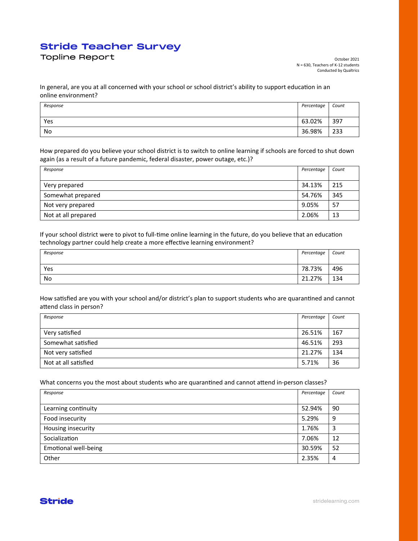# **Stride Teacher Survey Stride Teacher Survey**

Topline Report

In general, are you at all concerned with your school or school district's ability to support education in an online environment?

| Response | Percentage | Count |
|----------|------------|-------|
|          |            |       |
| Yes      | 63.02%     | 397   |
| No       | 36.98%     | 233   |

How prepared do you believe your school district is to switch to online learning if schools are forced to shut down again (as a result of a future pandemic, federal disaster, power outage, etc.)?

| Response            | Percentage | Count |
|---------------------|------------|-------|
|                     |            |       |
| Very prepared       | 34.13%     | 215   |
| Somewhat prepared   | 54.76%     | 345   |
| Not very prepared   | 9.05%      | 57    |
| Not at all prepared | 2.06%      | 13    |

If your school district were to pivot to full-time online learning in the future, do you believe that an education technology partner could help create a more effective learning environment?

| Response | Percentage | Count |
|----------|------------|-------|
|          |            |       |
| Yes      | 78.73%     | 496   |
| No       | 21.27%     | 134   |

How satisfied are you with your school and/or district's plan to support students who are quarantined and cannot attend class in person?

| Response             | Percentage | Count |
|----------------------|------------|-------|
|                      |            |       |
| Very satisfied       | 26.51%     | 167   |
| Somewhat satisfied   | 46.51%     | 293   |
| Not very satisfied   | 21.27%     | 134   |
| Not at all satisfied | 5.71%      | 36    |

What concerns you the most about students who are quarantined and cannot attend in-person classes?

| Response                    | Percentage | Count |
|-----------------------------|------------|-------|
|                             |            |       |
| Learning continuity         | 52.94%     | 90    |
| Food insecurity             | 5.29%      | 9     |
| Housing insecurity          | 1.76%      | 3     |
| Socialization               | 7.06%      | 12    |
| <b>Emotional well-being</b> | 30.59%     | 52    |
| Other                       | 2.35%      | 4     |



[stridelearning.com](https://www.stridelearning.com)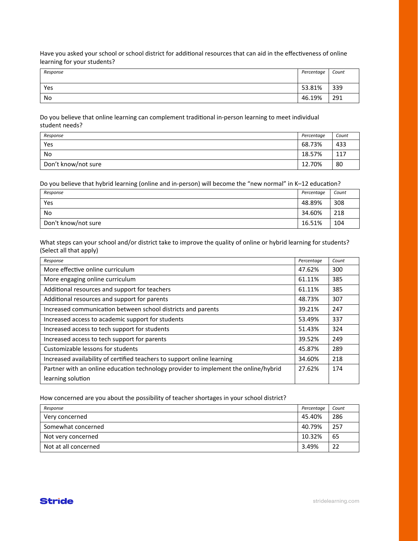Have you asked your school or school district for additional resources that can aid in the effectiveness of online learning for your students?

| Response | Percentage | Count |
|----------|------------|-------|
|          |            |       |
| Yes      | 53.81%     | 339   |
| No       | 46.19%     | 291   |

Do you believe that online learning can complement traditional in-person learning to meet individual student needs?

| Response            | Percentage | Count |
|---------------------|------------|-------|
| Yes                 | 68.73%     | 433   |
| No                  | 18.57%     | 117   |
| Don't know/not sure | 12.70%     | 80    |

Do you believe that hybrid learning (online and in-person) will become the "new normal" in K–12 education?

| Response            | Percentage | Count |
|---------------------|------------|-------|
| Yes                 | 48.89%     | 308   |
| No                  | 34.60%     | 218   |
| Don't know/not sure | 16.51%     | 104   |

What steps can your school and/or district take to improve the quality of online or hybrid learning for students? (Select all that apply)

| Response                                                                            | Percentage | Count |
|-------------------------------------------------------------------------------------|------------|-------|
| More effective online curriculum                                                    | 47.62%     | 300   |
| More engaging online curriculum                                                     | 61.11%     | 385   |
| Additional resources and support for teachers                                       | 61.11%     | 385   |
| Additional resources and support for parents                                        | 48.73%     | 307   |
| Increased communication between school districts and parents                        | 39.21%     | 247   |
| Increased access to academic support for students                                   | 53.49%     | 337   |
| Increased access to tech support for students                                       | 51.43%     | 324   |
| Increased access to tech support for parents                                        | 39.52%     | 249   |
| Customizable lessons for students                                                   | 45.87%     | 289   |
| Increased availability of certified teachers to support online learning             | 34.60%     | 218   |
| Partner with an online education technology provider to implement the online/hybrid | 27.62%     | 174   |
| learning solution                                                                   |            |       |

How concerned are you about the possibility of teacher shortages in your school district?

| Response             | Percentage | Count |
|----------------------|------------|-------|
| Very concerned       | 45.40%     | 286   |
| Somewhat concerned   | 40.79%     | 257   |
| Not very concerned   | 10.32%     | 65    |
| Not at all concerned | 3.49%      | 22    |

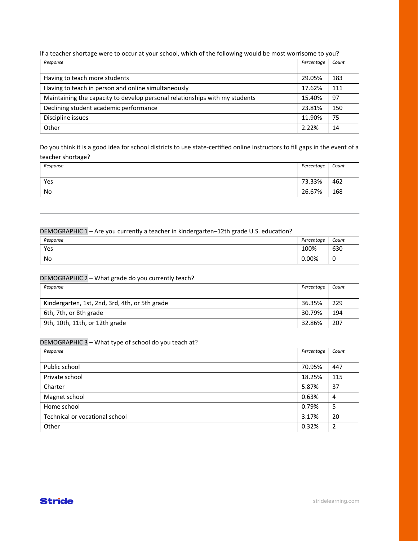If a teacher shortage were to occur at your school, which of the following would be most worrisome to you?

| Response                                                                    | Percentage | Count |
|-----------------------------------------------------------------------------|------------|-------|
|                                                                             |            |       |
| Having to teach more students                                               | 29.05%     | 183   |
| Having to teach in person and online simultaneously                         | 17.62%     | 111   |
| Maintaining the capacity to develop personal relationships with my students | 15.40%     | 97    |
| Declining student academic performance                                      | 23.81%     | 150   |
| Discipline issues                                                           | 11.90%     | 75    |
| Other                                                                       | 2.22%      | 14    |

Do you think it is a good idea for school districts to use state-certified online instructors to fill gaps in the event of a teacher shortage?

| Response | Percentage | Count |
|----------|------------|-------|
|          |            |       |
| Yes      | 73.33%     | 462   |
| No       | 26.67%     | 168   |

#### DEMOGRAPHIC 1 – Are you currently a teacher in kindergarten–12th grade U.S. education?

| Response | Percentage | Count |
|----------|------------|-------|
| Yes      | 100%       | 630   |
| No       | 0.00%      | 0     |

#### DEMOGRAPHIC 2 – What grade do you currently teach?

| Response                                       | Percentage | Count |
|------------------------------------------------|------------|-------|
|                                                |            |       |
| Kindergarten, 1st, 2nd, 3rd, 4th, or 5th grade | 36.35%     | 229   |
| 6th, 7th, or 8th grade                         | 30.79%     | 194   |
| 9th, 10th, 11th, or 12th grade                 | 32.86%     | 207   |

#### DEMOGRAPHIC 3 – What type of school do you teach at?

| Response                       | Percentage | Count          |
|--------------------------------|------------|----------------|
|                                |            |                |
| Public school                  | 70.95%     | 447            |
| Private school                 | 18.25%     | 115            |
| Charter                        | 5.87%      | 37             |
| Magnet school                  | 0.63%      | 4              |
| Home school                    | 0.79%      | 5              |
| Technical or vocational school | 3.17%      | 20             |
| Other                          | 0.32%      | $\overline{2}$ |

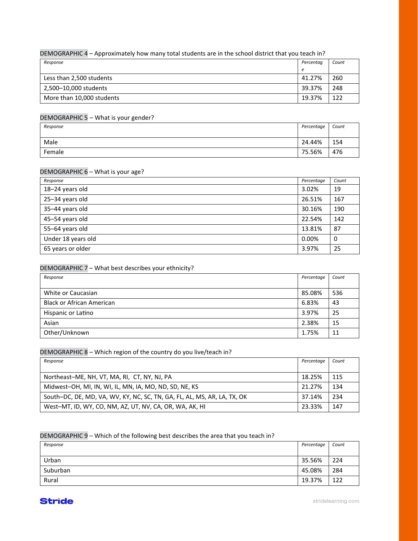## DEMOGRAPHIC 4 – Approximately how many total students are in the school district that you teach in?

| Response                  | Percentaa | Count |
|---------------------------|-----------|-------|
|                           | е         |       |
| Less than 2,500 students  | 41.27%    | 260   |
| 2,500-10,000 students     | 39.37%    | 248   |
| More than 10,000 students | 19.37%    | 122   |

## DEMOGRAPHIC 5 – What is your gender?

| Response | Percentage | Count |
|----------|------------|-------|
|          |            |       |
| Male     | 24.44%     | 154   |
| Female   | 75.56%     | 476   |

#### DEMOGRAPHIC 6 – What is your age?

| Response           | Percentage | Count |
|--------------------|------------|-------|
| 18-24 years old    | 3.02%      | 19    |
| 25-34 years old    | 26.51%     | 167   |
| 35-44 years old    | 30.16%     | 190   |
| 45-54 years old    | 22.54%     | 142   |
| 55-64 years old    | 13.81%     | 87    |
| Under 18 years old | 0.00%      | 0     |
| 65 years or older  | 3.97%      | 25    |

# DEMOGRAPHIC 7 – What best describes your ethnicity?

| Response                         | Percentage | Count |
|----------------------------------|------------|-------|
|                                  |            |       |
| White or Caucasian               | 85.08%     | 536   |
| <b>Black or African American</b> | 6.83%      | 43    |
| Hispanic or Latino               | 3.97%      | 25    |
| Asian                            | 2.38%      | 15    |
| Other/Unknown                    | 1.75%      | 11    |

#### DEMOGRAPHIC 8 – Which region of the country do you live/teach in?

| Response                                                                 | Percentage | Count |
|--------------------------------------------------------------------------|------------|-------|
|                                                                          |            |       |
| Northeast-ME, NH, VT, MA, RI, CT, NY, NJ, PA                             | 18.25%     | 115   |
| Midwest-OH, MI, IN, WI, IL, MN, IA, MO, ND, SD, NE, KS                   | 21.27%     | 134   |
| South-DC, DE, MD, VA, WV, KY, NC, SC, TN, GA, FL, AL, MS, AR, LA, TX, OK | 37.14%     | 234   |
| West-MT, ID, WY, CO, NM, AZ, UT, NV, CA, OR, WA, AK, HI                  | 23.33%     | 147   |

#### DEMOGRAPHIC 9 – Which of the following best describes the area that you teach in?

| Response | Percentage | Count |
|----------|------------|-------|
|          |            |       |
| Urban    | 35.56%     | 224   |
| Suburban | 45.08%     | 284   |
| Rural    | 19.37%     | 122   |